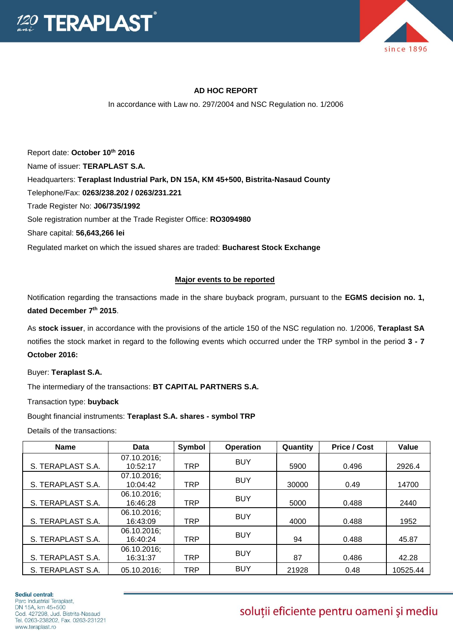



## **AD HOC REPORT**

In accordance with Law no. 297/2004 and NSC Regulation no. 1/2006

Report date: **October 10th 2016** Name of issuer: **TERAPLAST S.A.**  Headquarters: **Teraplast Industrial Park, DN 15A, KM 45+500, Bistrita-Nasaud County** Telephone/Fax: **0263/238.202 / 0263/231.221** Trade Register No: **J06/735/1992** Sole registration number at the Trade Register Office: **RO3094980** Share capital: **56,643,266 lei**  Regulated market on which the issued shares are traded: **Bucharest Stock Exchange**

## **Major events to be reported**

Notification regarding the transactions made in the share buyback program, pursuant to the **EGMS decision no. 1, dated December 7th 2015**.

As **stock issuer**, in accordance with the provisions of the article 150 of the NSC regulation no. 1/2006, **Teraplast SA** notifies the stock market in regard to the following events which occurred under the TRP symbol in the period **3 - 7 October 2016:**

Buyer: **Teraplast S.A.**

The intermediary of the transactions: **BT CAPITAL PARTNERS S.A.**

Transaction type: **buyback**

Bought financial instruments: **Teraplast S.A. shares - symbol TRP**

Details of the transactions:

| <b>Name</b>       | Data                    | Symbol     | <b>Operation</b> | Quantity | <b>Price / Cost</b> | Value    |
|-------------------|-------------------------|------------|------------------|----------|---------------------|----------|
| S. TERAPLAST S.A. | 07.10.2016;<br>10:52:17 | TRP        | <b>BUY</b>       | 5900     | 0.496               | 2926.4   |
| S. TERAPLAST S.A. | 07.10.2016;<br>10:04:42 | <b>TRP</b> | <b>BUY</b>       | 30000    | 0.49                | 14700    |
| S. TERAPLAST S.A. | 06.10.2016;<br>16:46:28 | <b>TRP</b> | <b>BUY</b>       | 5000     | 0.488               | 2440     |
| S. TERAPLAST S.A. | 06.10.2016;<br>16:43:09 | TRP        | <b>BUY</b>       | 4000     | 0.488               | 1952     |
| S. TERAPLAST S.A. | 06.10.2016;<br>16:40:24 | <b>TRP</b> | <b>BUY</b>       | 94       | 0.488               | 45.87    |
| S. TERAPLAST S.A. | 06.10.2016;<br>16:31:37 | TRP        | <b>BUY</b>       | 87       | 0.486               | 42.28    |
| S. TERAPLAST S.A. | 05.10.2016;             | TRP        | <b>BUY</b>       | 21928    | 0.48                | 10525.44 |

## soluții eficiente pentru oameni și mediu